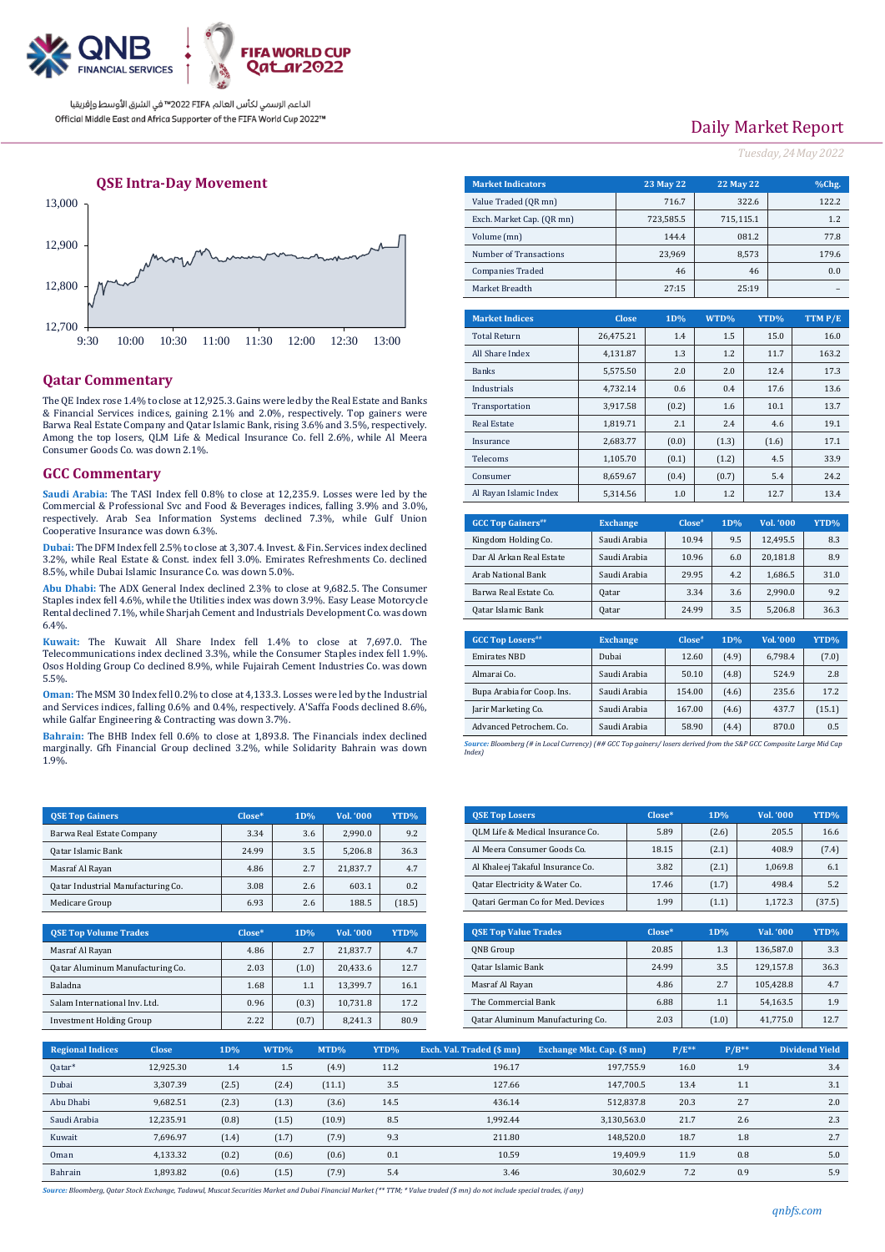

### **QSE Intra-Day Movement**



### **Qatar Commentary**

The QE Index rose 1.4% to close at 12,925.3. Gains were led by the Real Estate and Banks & Financial Services indices, gaining 2.1% and 2.0%, respectively. Top gainers were Barwa Real Estate Company and Qatar Islamic Bank, rising 3.6% and 3.5%, respectively. Among the top losers, QLM Life & Medical Insurance Co. fell 2.6%, while Al Meera Consumer Goods Co. was down 2.1%.

#### **GCC Commentary**

**Saudi Arabia:** The TASI Index fell 0.8% to close at 12,235.9. Losses were led by the Commercial & Professional Svc and Food & Beverages indices, falling 3.9% and 3.0%, respectively. Arab Sea Information Systems declined 7.3%, while Gulf Union Cooperative Insurance was down 6.3%.

**Dubai:** The DFM Index fell 2.5% to close at 3,307.4. Invest. & Fin. Services index declined 3.2%, while Real Estate & Const. index fell 3.0%. Emirates Refreshments Co. declined 8.5%, while Dubai Islamic Insurance Co. was down 5.0%.

**Abu Dhabi:** The ADX General Index declined 2.3% to close at 9,682.5. The Consumer Staples index fell 4.6%, while the Utilities index was down 3.9%. Easy Lease Motorcycle Rental declined 7.1%, while Sharjah Cement and Industrials Development Co. was down 6.4%.

**Kuwait:** The Kuwait All Share Index fell 1.4% to close at 7,697.0. The Telecommunications index declined 3.3%, while the Consumer Staples index fell 1.9%. Osos Holding Group Co declined 8.9%, while Fujairah Cement Industries Co. was down 5.5%.

**Oman:** The MSM 30 Index fell 0.2% to close at 4,133.3. Losses were led by the Industrial and Services indices, falling 0.6% and 0.4%, respectively. A'Saffa Foods declined 8.6%, while Galfar Engineering & Contracting was down 3.7%.

**Bahrain:** The BHB Index fell 0.6% to close at 1,893.8. The Financials index declined marginally. Gfh Financial Group declined 3.2%, while Solidarity Bahrain was down 1.9%.

| <b>OSE Top Gainers</b>             | $Close*$ | 1D% | Vol. '000 | YTD%   |
|------------------------------------|----------|-----|-----------|--------|
| Barwa Real Estate Company          | 3.34     | 3.6 | 2.990.0   | 9.2    |
| Qatar Islamic Bank                 | 24.99    | 3.5 | 5.206.8   | 36.3   |
| Masraf Al Rayan                    | 4.86     | 2.7 | 21.837.7  | 4.7    |
| Qatar Industrial Manufacturing Co. | 3.08     | 2.6 | 603.1     | 0.2    |
| Medicare Group                     | 6.93     | 2.6 | 188.5     | (18.5) |

| <b>OSE Top Volume Trades</b>     | $Close*$ | 1D%   | Vol. '000 | YTD% |
|----------------------------------|----------|-------|-----------|------|
| Masraf Al Rayan                  | 4.86     | 2.7   | 21,837.7  | 4.7  |
| Qatar Aluminum Manufacturing Co. | 2.03     | (1.0) | 20.433.6  | 12.7 |
| Baladna                          | 1.68     | 1.1   | 13.399.7  | 16.1 |
| Salam International Inv. Ltd.    | 0.96     | (0.3) | 10,731.8  | 17.2 |
| <b>Investment Holding Group</b>  | 2.22     | (0.7) | 8.241.3   | 80.9 |

# Daily Market Report

*Tuesday, 24May 2022*

| <b>Market Indicators</b>                                     |                    | 23 May 22          | 22 May 22           |       |                  | %Chg.    |
|--------------------------------------------------------------|--------------------|--------------------|---------------------|-------|------------------|----------|
| Value Traded (QR mn)                                         |                    | 716.7              |                     | 322.6 |                  | 122.2    |
| Exch. Market Cap. (QR mn)                                    |                    | 723,585.5          | 715,115.1           |       |                  | 1.2      |
| Volume (mn)                                                  |                    | 144.4              |                     | 081.2 |                  | 77.8     |
| Number of Transactions                                       |                    | 23,969             |                     | 8,573 |                  | 179.6    |
| <b>Companies Traded</b>                                      |                    | 46                 |                     | 46    |                  | 0.0      |
| Market Breadth                                               |                    | 27:15              |                     | 25:19 |                  |          |
|                                                              |                    |                    |                     |       |                  |          |
| <b>Market Indices</b>                                        | <b>Close</b>       | 1D%                | WTD%                |       | YTD%             | TTM P/E  |
| <b>Total Return</b>                                          | 26,475.21          | 1.4                | 1.5                 |       | 15.0             | 16.0     |
| All Share Index                                              | 4,131.87           | 1.3                | 1.2                 |       | 11.7             | 163.2    |
| <b>Banks</b>                                                 | 5,575.50           | 2.0                | 2.0                 |       | 12.4             | 17.3     |
| Industrials                                                  | 4,732.14           | 0.6                | 0.4                 |       | 17.6             | 13.6     |
| Transportation                                               | 3,917.58           | (0.2)              | 1.6                 |       | 10.1             | 13.7     |
| <b>Real Estate</b>                                           | 1.819.71           | 2.1                | 2.4                 |       | 4.6              | 19.1     |
| Insurance                                                    | 2,683.77           | (0.0)              | (1.3)               |       | (1.6)            | 17.1     |
| Telecoms                                                     | 1,105.70           | (0.1)              | (1.2)               |       | 4.5              | 33.9     |
| Consumer                                                     | 8,659.67           | (0.4)              | (0.7)               |       | 5.4              | 24.2     |
| Al Rayan Islamic Index                                       | 5.314.56           | 1.0                | 1.2                 |       | 12.7             | 13.4     |
|                                                              |                    |                    |                     |       |                  |          |
| <b>GCC Top Gainers</b> ##                                    | <b>Exchange</b>    | Close <sup>#</sup> | 1D%                 |       | <b>Vol. '000</b> | YTD%     |
| Kingdom Holding Co.                                          | Saudi Arabia       | 10.94              | 9.5                 |       | 12,495.5         | 8.3      |
| $D_{\text{max}}$ Al Aulian $D_{\text{max}}$ $D_{\text{max}}$ | $C = 0.42$ Anglets | 100<               | $\epsilon$ $\alpha$ |       | 30.101.0         | $\Omega$ |

|              | .     |     | .        |      |
|--------------|-------|-----|----------|------|
| Saudi Arabia | 10.94 | 9.5 | 12.495.5 | 8.3  |
| Saudi Arabia | 10.96 | 6.0 | 20.181.8 | 8.9  |
| Saudi Arabia | 29.95 | 4.2 | 1.686.5  | 31.0 |
| <b>Qatar</b> | 3.34  | 3.6 | 2.990.0  | 9.2  |
| <b>Qatar</b> | 24.99 | 3.5 | 5.206.8  | 36.3 |
|              |       |     |          |      |

| <b>GCC Top Losers</b> ##   | <b>Exchange</b> | Close# | 1D%   | Vol.'000 | YTD%   |
|----------------------------|-----------------|--------|-------|----------|--------|
| <b>Emirates NBD</b>        | Dubai           | 12.60  | (4.9) | 6.798.4  | (7.0)  |
| Almarai Co.                | Saudi Arabia    | 50.10  | (4.8) | 524.9    | 2.8    |
| Bupa Arabia for Coop. Ins. | Saudi Arabia    | 154.00 | (4.6) | 235.6    | 17.2   |
| Jarir Marketing Co.        | Saudi Arabia    | 167.00 | (4.6) | 437.7    | (15.1) |
| Advanced Petrochem. Co.    | Saudi Arabia    | 58.90  | (4.4) | 870.0    | 0.5    |

*Source: Bloomberg (# in Local Currency) (## GCC Top gainers/ losers derived from the S&P GCC Composite Large Mid Cap Index)*

| <b>OSE Top Losers</b>             | $Close*$ | 1D%   | Vol. '000 | YTD%   |
|-----------------------------------|----------|-------|-----------|--------|
| QLM Life & Medical Insurance Co.  | 5.89     | (2.6) | 205.5     | 16.6   |
| Al Meera Consumer Goods Co.       | 18.15    | (2.1) | 408.9     | (7.4)  |
| Al Khaleej Takaful Insurance Co.  | 3.82     | (2.1) | 1.069.8   | 6.1    |
| Oatar Electricity & Water Co.     | 17.46    | (1.7) | 498.4     | 5.2    |
| Qatari German Co for Med. Devices | 1.99     | (1.1) | 1.172.3   | (37.5) |

| <b>OSE Top Value Trades</b>      | $Close*$ | 1D%   | Val. '000 | YTD% |
|----------------------------------|----------|-------|-----------|------|
| <b>ONB</b> Group                 | 20.85    | 1.3   | 136.587.0 | 3.3  |
| Qatar Islamic Bank               | 24.99    | 3.5   | 129.157.8 | 36.3 |
| Masraf Al Rayan                  | 4.86     | 2.7   | 105,428.8 | 4.7  |
| The Commercial Bank              | 6.88     | 1.1   | 54,163.5  | 1.9  |
| Qatar Aluminum Manufacturing Co. | 2.03     | (1.0) | 41.775.0  | 12.7 |

| <b>Regional Indices</b> | <b>Close</b> | 1D%   | WTD%  | MTD%   | YTD% | Exch. Val. Traded (\$ mn) | Exchange Mkt. Cap. (\$ mn) | $P/E**$ | $P/B**$ | <b>Dividend Yield</b> |
|-------------------------|--------------|-------|-------|--------|------|---------------------------|----------------------------|---------|---------|-----------------------|
| Qatar*                  | 12.925.30    | 1.4   | 1.5   | (4.9)  | 11.2 | 196.17                    | 197.755.9                  | 16.0    | 1.9     | 3.4                   |
| Dubai                   | 3.307.39     | (2.5) | (2.4) | (11.1) | 3.5  | 127.66                    | 147.700.5                  | 13.4    | 1.1     | 3.1                   |
| Abu Dhabi               | 9,682.51     | (2.3) | (1.3) | (3.6)  | 14.5 | 436.14                    | 512.837.8                  | 20.3    | 2.7     | 2.0                   |
| Saudi Arabia            | 12,235.91    | (0.8) | (1.5) | (10.9) | 8.5  | 1.992.44                  | 3,130,563.0                | 21.7    | 2.6     | 2.3                   |
| Kuwait                  | 7.696.97     | (1.4) | (1.7) | (7.9)  | 9.3  | 211.80                    | 148.520.0                  | 18.7    | 1.8     | 2.7                   |
| Oman                    | 4,133.32     | (0.2) | (0.6) | (0.6)  | 0.1  | 10.59                     | 19.409.9                   | 11.9    | 0.8     | 5.0                   |
| Bahrain                 | 1,893.82     | (0.6) | (1.5) | (7.9)  | 5.4  | 3.46                      | 30.602.9                   | 7.2     | 0.9     | 5.9                   |

*Source: Bloomberg, Qatar Stock Exchange, Tadawul, Muscat Securities Market and Dubai Financial Market (\*\* TTM; \* Value traded (\$ mn) do not include special trades, if any)*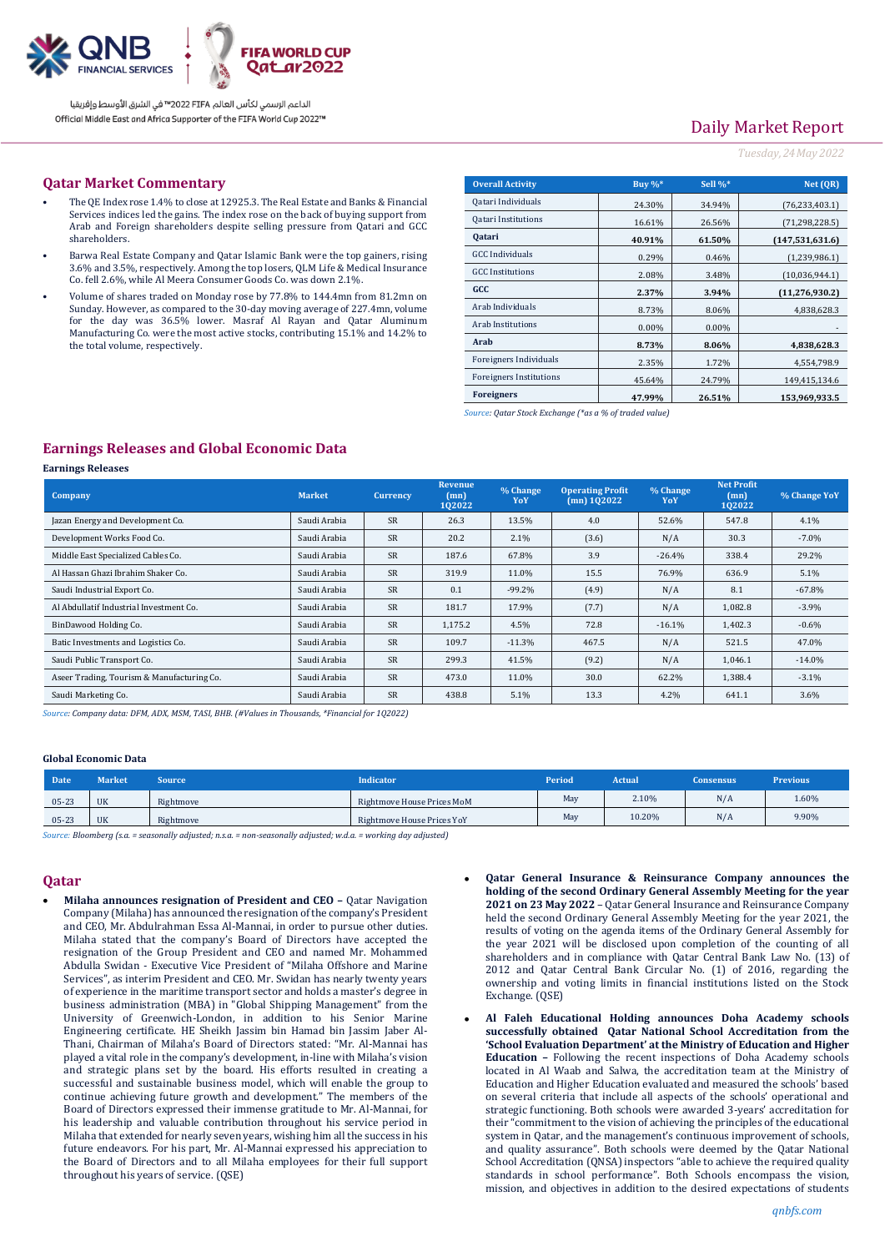

# Daily Market Report

#### *Tuesday, 24May 2022*

#### **Qatar Market Commentary**

- The QE Index rose 1.4% to close at 12925.3. The Real Estate and Banks & Financial Services indices led the gains. The index rose on the back of buying support from Arab and Foreign shareholders despite selling pressure from Qatari and GCC shareholders.
- Barwa Real Estate Company and Qatar Islamic Bank were the top gainers, rising 3.6% and 3.5%, respectively. Among the top losers, QLM Life & Medical Insurance Co. fell 2.6%, while Al Meera Consumer Goods Co. was down 2.1%.
- Volume of shares traded on Monday rose by 77.8% to 144.4mn from 81.2mn on Sunday. However, as compared to the 30-day moving average of 227.4mn, volume for the day was 36.5% lower. Masraf Al Rayan and Qatar Aluminum Manufacturing Co. were the most active stocks, contributing 15.1% and 14.2% to the total volume, respectively.

| <b>Overall Activity</b>        | Buy $\%^*$ | Sell %*  | Net (QR)          |
|--------------------------------|------------|----------|-------------------|
| Qatari Individuals             | 24.30%     | 34.94%   | (76, 233, 403.1)  |
| <b>Qatari Institutions</b>     | 16.61%     | 26.56%   | (71, 298, 228.5)  |
| <b>Qatari</b>                  | 40.91%     | 61.50%   | (147, 531, 631.6) |
| <b>GCC</b> Individuals         | 0.29%      | 0.46%    | (1,239,986.1)     |
| <b>GCC</b> Institutions        | 2.08%      | 3.48%    | (10,036,944.1)    |
| GCC                            | 2.37%      | 3.94%    | (11, 276, 930.2)  |
| Arab Individuals               | 8.73%      | 8.06%    | 4,838,628.3       |
| <b>Arab Institutions</b>       | $0.00\%$   | $0.00\%$ |                   |
| Arab                           | 8.73%      | 8.06%    | 4,838,628.3       |
| Foreigners Individuals         | 2.35%      | 1.72%    | 4,554,798.9       |
| <b>Foreigners Institutions</b> | 45.64%     | 24.79%   | 149.415.134.6     |
| <b>Foreigners</b>              | 47.99%     | 26.51%   | 153.969.933.5     |

*Source: Qatar Stock Exchange (\*as a % of traded value)*

### **Earnings Releases and Global Economic Data**

#### **Earnings Releases**

| <b>Company</b>                             | <b>Market</b> | <b>Currency</b> | Revenue<br>(mn)<br>102022 | % Change<br>YoY | <b>Operating Profit</b><br>$(mn)$ 102022 | % Change<br>YoY | <b>Net Profit</b><br>(mn)<br>102022 | % Change YoY |
|--------------------------------------------|---------------|-----------------|---------------------------|-----------------|------------------------------------------|-----------------|-------------------------------------|--------------|
| Jazan Energy and Development Co.           | Saudi Arabia  | <b>SR</b>       | 26.3                      | 13.5%           | 4.0                                      | 52.6%           | 547.8                               | 4.1%         |
| Development Works Food Co.                 | Saudi Arabia  | <b>SR</b>       | 20.2                      | 2.1%            | (3.6)                                    | N/A             | 30.3                                | $-7.0\%$     |
| Middle East Specialized Cables Co.         | Saudi Arabia  | <b>SR</b>       | 187.6                     | 67.8%           | 3.9                                      | $-26.4%$        | 338.4                               | 29.2%        |
| Al Hassan Ghazi Ibrahim Shaker Co.         | Saudi Arabia  | <b>SR</b>       | 319.9                     | 11.0%           | 15.5                                     | 76.9%           | 636.9                               | 5.1%         |
| Saudi Industrial Export Co.                | Saudi Arabia  | <b>SR</b>       | 0.1                       | $-99.2%$        | (4.9)                                    | N/A             | 8.1                                 | $-67.8%$     |
| Al Abdullatif Industrial Investment Co.    | Saudi Arabia  | <b>SR</b>       | 181.7                     | 17.9%           | (7.7)                                    | N/A             | 1,082.8                             | $-3.9%$      |
| BinDawood Holding Co.                      | Saudi Arabia  | <b>SR</b>       | 1,175.2                   | 4.5%            | 72.8                                     | $-16.1%$        | 1,402.3                             | $-0.6%$      |
| Batic Investments and Logistics Co.        | Saudi Arabia  | <b>SR</b>       | 109.7                     | $-11.3%$        | 467.5                                    | N/A             | 521.5                               | 47.0%        |
| Saudi Public Transport Co.                 | Saudi Arabia  | <b>SR</b>       | 299.3                     | 41.5%           | (9.2)                                    | N/A             | 1,046.1                             | $-14.0%$     |
| Aseer Trading, Tourism & Manufacturing Co. | Saudi Arabia  | <b>SR</b>       | 473.0                     | 11.0%           | 30.0                                     | 62.2%           | 1.388.4                             | $-3.1%$      |
| Saudi Marketing Co.                        | Saudi Arabia  | <b>SR</b>       | 438.8                     | 5.1%            | 13.3                                     | 4.2%            | 641.1                               | 3.6%         |

*Source: Company data: DFM, ADX, MSM, TASI, BHB. (#Values in Thousands, \*Financial for 1Q2022)*

#### **Global Economic Data**

| <b>Date</b> | Market    | Source    | <b>Indicator</b>           | Period | Actual | Consensus | <b>Previous</b> |
|-------------|-----------|-----------|----------------------------|--------|--------|-----------|-----------------|
| $05 - 23$   | <b>UK</b> | Rightmove | Rightmove House Prices MoM | May    | 2.10%  | N/A       | 1.60%           |
| $05 - 23$   | UK        | Rightmove | Rightmove House Prices YoY | May    | 10.20% | N/A       | 9.90%           |
|             |           |           |                            |        |        |           |                 |

*Source: Bloomberg (s.a. = seasonally adjusted; n.s.a. = non-seasonally adjusted; w.d.a. = working day adjusted)*

#### **Qatar**

- **Milaha announces resignation of President and CEO –** Qatar Navigation Company (Milaha) has announced the resignation of the company's President and CEO, Mr. Abdulrahman Essa Al-Mannai, in order to pursue other duties. Milaha stated that the company's Board of Directors have accepted the resignation of the Group President and CEO and named Mr. Mohammed Abdulla Swidan - Executive Vice President of "Milaha Offshore and Marine Services", as interim President and CEO. Mr. Swidan has nearly twenty years of experience in the maritime transport sector and holds a master's degree in business administration (MBA) in "Global Shipping Management" from the University of Greenwich-London, in addition to his Senior Marine Engineering certificate. HE Sheikh Jassim bin Hamad bin Jassim Jaber Al-Thani, Chairman of Milaha's Board of Directors stated: "Mr. Al-Mannai has played a vital role in the company's development, in-line with Milaha's vision and strategic plans set by the board. His efforts resulted in creating a successful and sustainable business model, which will enable the group to continue achieving future growth and development." The members of the Board of Directors expressed their immense gratitude to Mr. Al-Mannai, for his leadership and valuable contribution throughout his service period in Milaha that extended for nearly seven years, wishing him all the success in his future endeavors. For his part, Mr. Al-Mannai expressed his appreciation to the Board of Directors and to all Milaha employees for their full support throughout his years of service. (QSE)
- **Qatar General Insurance & Reinsurance Company announces the holding of the second Ordinary General Assembly Meeting for the year 2021 on 23 May 2022** – Qatar General Insurance and Reinsurance Company held the second Ordinary General Assembly Meeting for the year 2021, the results of voting on the agenda items of the Ordinary General Assembly for the year 2021 will be disclosed upon completion of the counting of all shareholders and in compliance with Qatar Central Bank Law No. (13) of 2012 and Qatar Central Bank Circular No. (1) of 2016, regarding the ownership and voting limits in financial institutions listed on the Stock Exchange. (QSE)
- **Al Faleh Educational Holding announces Doha Academy schools successfully obtained Qatar National School Accreditation from the 'School Evaluation Department' at the Ministry of Education and Higher Education –** Following the recent inspections of Doha Academy schools located in Al Waab and Salwa, the accreditation team at the Ministry of Education and Higher Education evaluated and measured the schools' based on several criteria that include all aspects of the schools' operational and strategic functioning. Both schools were awarded 3-years' accreditation for their "commitment to the vision of achieving the principles of the educational system in Qatar, and the management's continuous improvement of schools, and quality assurance". Both schools were deemed by the Qatar National School Accreditation (QNSA) inspectors "able to achieve the required quality standards in school performance". Both Schools encompass the vision, mission, and objectives in addition to the desired expectations of students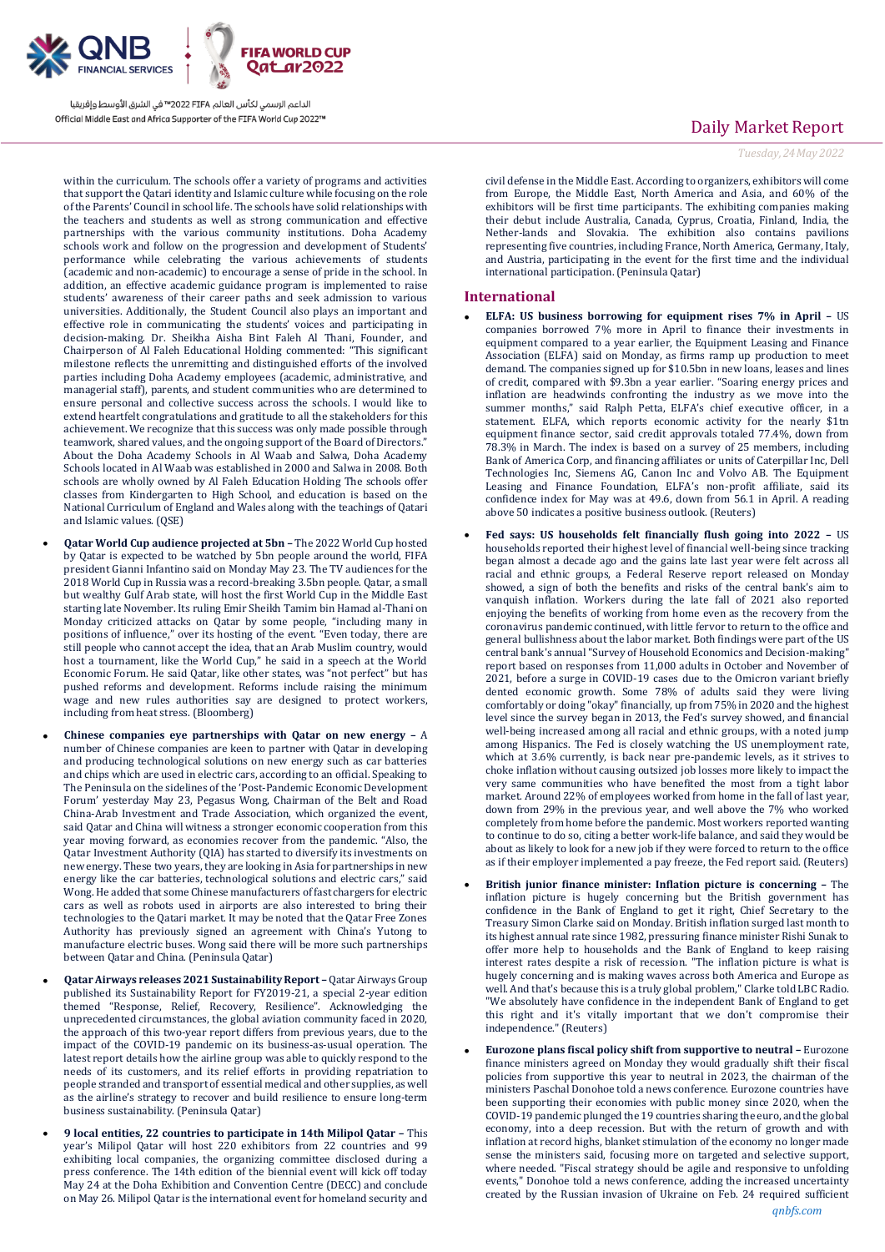

within the curriculum. The schools offer a variety of programs and activities that support the Qatari identity and Islamic culture while focusing on the role of the Parents' Council in school life. The schools have solid relationships with the teachers and students as well as strong communication and effective partnerships with the various community institutions. Doha Academy schools work and follow on the progression and development of Students' performance while celebrating the various achievements of students (academic and non-academic) to encourage a sense of pride in the school. In addition, an effective academic guidance program is implemented to raise students' awareness of their career paths and seek admission to various universities. Additionally, the Student Council also plays an important and effective role in communicating the students' voices and participating in decision-making. Dr. Sheikha Aisha Bint Faleh Al Thani, Founder, and Chairperson of Al Faleh Educational Holding commented: "This significant milestone reflects the unremitting and distinguished efforts of the involved parties including Doha Academy employees (academic, administrative, and managerial staff), parents, and student communities who are determined to ensure personal and collective success across the schools. I would like to extend heartfelt congratulations and gratitude to all the stakeholders for this achievement. We recognize that this success was only made possible through teamwork, shared values, and the ongoing support of the Board of Directors." About the Doha Academy Schools in Al Waab and Salwa, Doha Academy Schools located in Al Waab was established in 2000 and Salwa in 2008. Both schools are wholly owned by Al Faleh Education Holding The schools offer classes from Kindergarten to High School, and education is based on the National Curriculum of England and Wales along with the teachings of Qatari and Islamic values. (QSE)

- **Qatar World Cup audience projected at 5bn –** The 2022 World Cup hosted by Qatar is expected to be watched by 5bn people around the world, FIFA president Gianni Infantino said on Monday May 23. The TV audiences for the 2018 World Cup in Russia was a record-breaking 3.5bn people. Qatar, a small but wealthy Gulf Arab state, will host the first World Cup in the Middle East starting late November. Its ruling Emir Sheikh Tamim bin Hamad al-Thani on Monday criticized attacks on Qatar by some people, "including many in positions of influence," over its hosting of the event. "Even today, there are still people who cannot accept the idea, that an Arab Muslim country, would host a tournament, like the World Cup," he said in a speech at the World Economic Forum. He said Qatar, like other states, was "not perfect" but has pushed reforms and development. Reforms include raising the minimum wage and new rules authorities say are designed to protect workers, including from heat stress. (Bloomberg)
- **Chinese companies eye partnerships with Qatar on new energy –** A number of Chinese companies are keen to partner with Qatar in developing and producing technological solutions on new energy such as car batteries and chips which are used in electric cars, according to an official. Speaking to The Peninsula on the sidelines of the 'Post-Pandemic Economic Development Forum' yesterday May 23, Pegasus Wong, Chairman of the Belt and Road China-Arab Investment and Trade Association, which organized the event, said Qatar and China will witness a stronger economic cooperation from this year moving forward, as economies recover from the pandemic. "Also, the Qatar Investment Authority (QIA) has started to diversify its investments on new energy. These two years, they are looking in Asia for partnerships in new energy like the car batteries, technological solutions and electric cars," said Wong. He added that some Chinese manufacturers of fast chargers for electric cars as well as robots used in airports are also interested to bring their technologies to the Qatari market. It may be noted that the Qatar Free Zones Authority has previously signed an agreement with China's Yutong to manufacture electric buses. Wong said there will be more such partnerships between Qatar and China. (Peninsula Qatar)
- **Qatar Airways releases 2021 Sustainability Report Qatar Airways Group** published its Sustainability Report for FY2019-21, a special 2-year edition themed "Response, Relief, Recovery, Resilience". Acknowledging the unprecedented circumstances, the global aviation community faced in 2020, the approach of this two-year report differs from previous years, due to the impact of the COVID-19 pandemic on its business-as-usual operation. The latest report details how the airline group was able to quickly respond to the needs of its customers, and its relief efforts in providing repatriation to people stranded and transport of essential medical and other supplies, as well as the airline's strategy to recover and build resilience to ensure long-term business sustainability. (Peninsula Qatar)
- **9 local entities, 22 countries to participate in 14th Milipol Qatar –** This year's Milipol Qatar will host 220 exhibitors from 22 countries and 99 exhibiting local companies, the organizing committee disclosed during a press conference. The 14th edition of the biennial event will kick off today May 24 at the Doha Exhibition and Convention Centre (DECC) and conclude on May 26. Milipol Qatar is the international event for homeland security and

## Daily Market Report

*Tuesday, 24May 2022*

civil defense in the Middle East. According to organizers, exhibitors will come from Europe, the Middle East, North America and Asia, and 60% of the exhibitors will be first time participants. The exhibiting companies making their debut include Australia, Canada, Cyprus, Croatia, Finland, India, the Nether-lands and Slovakia. The exhibition also contains pavilions representing five countries, including France, North America, Germany, Italy, and Austria, participating in the event for the first time and the individual international participation. (Peninsula Qatar)

### **International**

- **ELFA: US business borrowing for equipment rises 7% in April –** US companies borrowed 7% more in April to finance their investments in equipment compared to a year earlier, the Equipment Leasing and Finance Association (ELFA) said on Monday, as firms ramp up production to meet demand. The companies signed up for \$10.5bn in new loans, leases and lines of credit, compared with \$9.3bn a year earlier. "Soaring energy prices and inflation are headwinds confronting the industry as we move into the summer months," said Ralph Petta, ELFA's chief executive officer, in a statement. ELFA, which reports economic activity for the nearly \$1tn equipment finance sector, said credit approvals totaled 77.4%, down from 78.3% in March. The index is based on a survey of 25 members, including Bank of America Corp, and financing affiliates or units of Caterpillar Inc, Dell Technologies Inc, Siemens AG, Canon Inc and Volvo AB. The Equipment Leasing and Finance Foundation, ELFA's non-profit affiliate, said its confidence index for May was at 49.6, down from 56.1 in April. A reading above 50 indicates a positive business outlook. (Reuters)
- **Fed says: US households felt financially flush going into 2022 –** US households reported their highest level of financial well-being since tracking began almost a decade ago and the gains late last year were felt across all racial and ethnic groups, a Federal Reserve report released on Monday showed, a sign of both the benefits and risks of the central bank's aim to vanquish inflation. Workers during the late fall of 2021 also reported enjoying the benefits of working from home even as the recovery from the coronavirus pandemic continued, with little fervor to return to the office and general bullishness about the labor market. Both findings were part of the US central bank's annual "Survey of Household Economics and Decision-making" report based on responses from 11,000 adults in October and November of 2021, before a surge in COVID-19 cases due to the Omicron variant briefly dented economic growth. Some 78% of adults said they were living comfortably or doing "okay" financially, up from 75% in 2020 and the highest level since the survey began in 2013, the Fed's survey showed, and financial well-being increased among all racial and ethnic groups, with a noted jump among Hispanics. The Fed is closely watching the US unemployment rate, which at 3.6% currently, is back near pre-pandemic levels, as it strives to choke inflation without causing outsized job losses more likely to impact the very same communities who have benefited the most from a tight labor market. Around 22% of employees worked from home in the fall of last year, down from 29% in the previous year, and well above the 7% who worked completely from home before the pandemic. Most workers reported wanting to continue to do so, citing a better work-life balance, and said they would be about as likely to look for a new job if they were forced to return to the office as if their employer implemented a pay freeze, the Fed report said. (Reuters)
- **British junior finance minister: Inflation picture is concerning –** The inflation picture is hugely concerning but the British government has confidence in the Bank of England to get it right, Chief Secretary to the Treasury Simon Clarke said on Monday. British inflation surged last month to its highest annual rate since 1982, pressuring finance minister Rishi Sunak to offer more help to households and the Bank of England to keep raising interest rates despite a risk of recession. "The inflation picture is what is hugely concerning and is making waves across both America and Europe as well. And that's because this is a truly global problem," Clarke told LBC Radio. "We absolutely have confidence in the independent Bank of England to get this right and it's vitally important that we don't compromise their independence." (Reuters)
- **Eurozone plans fiscal policy shift from supportive to neutral –** Eurozone finance ministers agreed on Monday they would gradually shift their fiscal policies from supportive this year to neutral in 2023, the chairman of the ministers Paschal Donohoe told a news conference. Eurozone countries have been supporting their economies with public money since 2020, when the COVID-19 pandemic plunged the 19 countries sharing the euro, and the global economy, into a deep recession. But with the return of growth and with inflation at record highs, blanket stimulation of the economy no longer made sense the ministers said, focusing more on targeted and selective support, where needed. "Fiscal strategy should be agile and responsive to unfolding events," Donohoe told a news conference, adding the increased uncertainty created by the Russian invasion of Ukraine on Feb. 24 required sufficient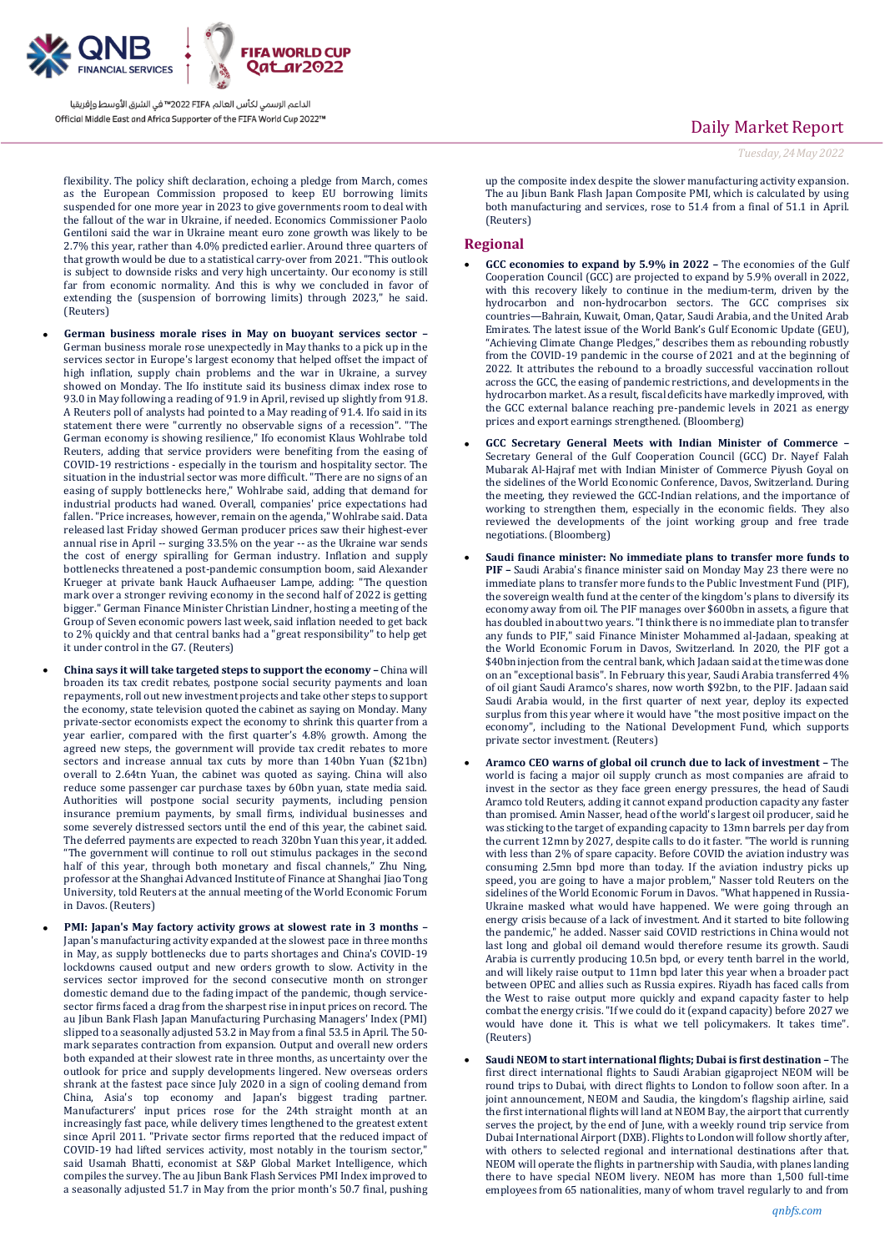

flexibility. The policy shift declaration, echoing a pledge from March, comes as the European Commission proposed to keep EU borrowing limits suspended for one more year in 2023 to give governments room to deal with the fallout of the war in Ukraine, if needed. Economics Commissioner Paolo Gentiloni said the war in Ukraine meant euro zone growth was likely to be 2.7% this year, rather than 4.0% predicted earlier. Around three quarters of that growth would be due to a statistical carry-over from 2021. "This outlook is subject to downside risks and very high uncertainty. Our economy is still far from economic normality. And this is why we concluded in favor of extending the (suspension of borrowing limits) through 2023," he said. (Reuters)

- **German business morale rises in May on buoyant services sector –** German business morale rose unexpectedly in May thanks to a pick up in the services sector in Europe's largest economy that helped offset the impact of high inflation, supply chain problems and the war in Ukraine, a survey showed on Monday. The Ifo institute said its business climax index rose to 93.0 in May following a reading of 91.9 in April, revised up slightly from 91.8. A Reuters poll of analysts had pointed to a May reading of 91.4. Ifo said in its statement there were "currently no observable signs of a recession". "The German economy is showing resilience," Ifo economist Klaus Wohlrabe told Reuters, adding that service providers were benefiting from the easing of COVID-19 restrictions - especially in the tourism and hospitality sector. The situation in the industrial sector was more difficult. "There are no signs of an easing of supply bottlenecks here," Wohlrabe said, adding that demand for industrial products had waned. Overall, companies' price expectations had fallen. "Price increases, however, remain on the agenda," Wohlrabe said. Data released last Friday showed German producer prices saw their highest-ever annual rise in April -- surging 33.5% on the year -- as the Ukraine war sends the cost of energy spiralling for German industry. Inflation and supply bottlenecks threatened a post-pandemic consumption boom, said Alexander Krueger at private bank Hauck Aufhaeuser Lampe, adding: "The question mark over a stronger reviving economy in the second half of 2022 is getting bigger." German Finance Minister Christian Lindner, hosting a meeting of the Group of Seven economic powers last week, said inflation needed to get back to 2% quickly and that central banks had a "great responsibility" to help get it under control in the G7. (Reuters)
- **China says it will take targeted steps to support the economy –** China will broaden its tax credit rebates, postpone social security payments and loan repayments, roll out new investment projects and take other steps to support the economy, state television quoted the cabinet as saying on Monday. Many private-sector economists expect the economy to shrink this quarter from a year earlier, compared with the first quarter's 4.8% growth. Among the agreed new steps, the government will provide tax credit rebates to more sectors and increase annual tax cuts by more than 140bn Yuan (\$21bn) overall to 2.64tn Yuan, the cabinet was quoted as saying. China will also reduce some passenger car purchase taxes by 60bn yuan, state media said. Authorities will postpone social security payments, including pension insurance premium payments, by small firms, individual businesses and some severely distressed sectors until the end of this year, the cabinet said. The deferred payments are expected to reach 320bn Yuan this year, it added. "The government will continue to roll out stimulus packages in the second half of this year, through both monetary and fiscal channels," Zhu Ning, professor at the Shanghai Advanced Institute of Finance at Shanghai Jiao Tong University, told Reuters at the annual meeting of the World Economic Forum in Davos. (Reuters)
- **PMI: Japan's May factory activity grows at slowest rate in 3 months –** Japan's manufacturing activity expanded at the slowest pace in three months in May, as supply bottlenecks due to parts shortages and China's COVID-19 lockdowns caused output and new orders growth to slow. Activity in the services sector improved for the second consecutive month on stronger domestic demand due to the fading impact of the pandemic, though servicesector firms faced a drag from the sharpest rise in input prices on record. The au Jibun Bank Flash Japan Manufacturing Purchasing Managers' Index (PMI) slipped to a seasonally adjusted 53.2 in May from a final 53.5 in April. The 50 mark separates contraction from expansion. Output and overall new orders both expanded at their slowest rate in three months, as uncertainty over the outlook for price and supply developments lingered. New overseas orders shrank at the fastest pace since July 2020 in a sign of cooling demand from China, Asia's top economy and Japan's biggest trading partner. Manufacturers' input prices rose for the 24th straight month at an increasingly fast pace, while delivery times lengthened to the greatest extent since April 2011. "Private sector firms reported that the reduced impact of COVID-19 had lifted services activity, most notably in the tourism sector," said Usamah Bhatti, economist at S&P Global Market Intelligence, which compiles the survey. The au Jibun Bank Flash Services PMI Index improved to a seasonally adjusted 51.7 in May from the prior month's 50.7 final, pushing

## Daily Market Report

*Tuesday, 24May 2022*

up the composite index despite the slower manufacturing activity expansion. The au Jibun Bank Flash Japan Composite PMI, which is calculated by using both manufacturing and services, rose to 51.4 from a final of 51.1 in April. (Reuters)

### **Regional**

- **GCC economies to expand by 5.9% in 2022 –** The economies of the Gulf Cooperation Council (GCC) are projected to expand by 5.9% overall in 2022, with this recovery likely to continue in the medium-term, driven by the hydrocarbon and non-hydrocarbon sectors. The GCC comprises six countries—Bahrain, Kuwait, Oman, Qatar, Saudi Arabia, and the United Arab Emirates. The latest issue of the World Bank's Gulf Economic Update (GEU), "Achieving Climate Change Pledges," describes them as rebounding robustly from the COVID-19 pandemic in the course of 2021 and at the beginning of 2022. It attributes the rebound to a broadly successful vaccination rollout across the GCC, the easing of pandemic restrictions, and developments in the hydrocarbon market. As a result, fiscal deficits have markedly improved, with the GCC external balance reaching pre-pandemic levels in 2021 as energy prices and export earnings strengthened. (Bloomberg)
- **GCC Secretary General Meets with Indian Minister of Commerce –** Secretary General of the Gulf Cooperation Council (GCC) Dr. Nayef Falah Mubarak Al-Hajraf met with Indian Minister of Commerce Piyush Goyal on the sidelines of the World Economic Conference, Davos, Switzerland. During the meeting, they reviewed the GCC-Indian relations, and the importance of working to strengthen them, especially in the economic fields. They also reviewed the developments of the joint working group and free trade negotiations. (Bloomberg)
- **Saudi finance minister: No immediate plans to transfer more funds to PIF –** Saudi Arabia's finance minister said on Monday May 23 there were no immediate plans to transfer more funds to the Public Investment Fund (PIF), the sovereign wealth fund at the center of the kingdom's plans to diversify its economy away from oil. The PIF manages over \$600bn in assets, a figure that has doubled in about two years. "I think there is no immediate plan to transfer any funds to PIF," said Finance Minister Mohammed al-Jadaan, speaking at the World Economic Forum in Davos, Switzerland. In 2020, the PIF got a \$40bn injection from the central bank, which Jadaan said at the time was done on an "exceptional basis". In February this year, Saudi Arabia transferred 4% of oil giant Saudi Aramco's shares, now worth \$92bn, to the PIF. Jadaan said Saudi Arabia would, in the first quarter of next year, deploy its expected surplus from this year where it would have "the most positive impact on the economy", including to the National Development Fund, which supports private sector investment. (Reuters)
- **Aramco CEO warns of global oil crunch due to lack of investment –** The world is facing a major oil supply crunch as most companies are afraid to invest in the sector as they face green energy pressures, the head of Saudi Aramco told Reuters, adding it cannot expand production capacity any faster than promised. Amin Nasser, head of the world's largest oil producer, said he was sticking to the target of expanding capacity to 13mn barrels per day from the current 12mn by 2027, despite calls to do it faster. "The world is running with less than 2% of spare capacity. Before COVID the aviation industry was consuming 2.5mn bpd more than today. If the aviation industry picks up speed, you are going to have a major problem," Nasser told Reuters on the sidelines of the World Economic Forum in Davos. "What happened in Russia-Ukraine masked what would have happened. We were going through an energy crisis because of a lack of investment. And it started to bite following the pandemic," he added. Nasser said COVID restrictions in China would not last long and global oil demand would therefore resume its growth. Saudi Arabia is currently producing 10.5n bpd, or every tenth barrel in the world, and will likely raise output to 11mn bpd later this year when a broader pact between OPEC and allies such as Russia expires. Riyadh has faced calls from the West to raise output more quickly and expand capacity faster to help combat the energy crisis. "If we could do it (expand capacity) before 2027 we would have done it. This is what we tell policymakers. It takes time". (Reuters)
- **Saudi NEOM to start international flights; Dubai is first destination –** The first direct international flights to Saudi Arabian gigaproject NEOM will be round trips to Dubai, with direct flights to London to follow soon after. In a joint announcement, NEOM and Saudia, the kingdom's flagship airline, said the first international flights will land at NEOM Bay, the airport that currently serves the project, by the end of June, with a weekly round trip service from Dubai International Airport (DXB). Flights to London will follow shortly after, with others to selected regional and international destinations after that. NEOM will operate the flights in partnership with Saudia, with planes landing there to have special NEOM livery. NEOM has more than 1,500 full-time employees from 65 nationalities, many of whom travel regularly to and from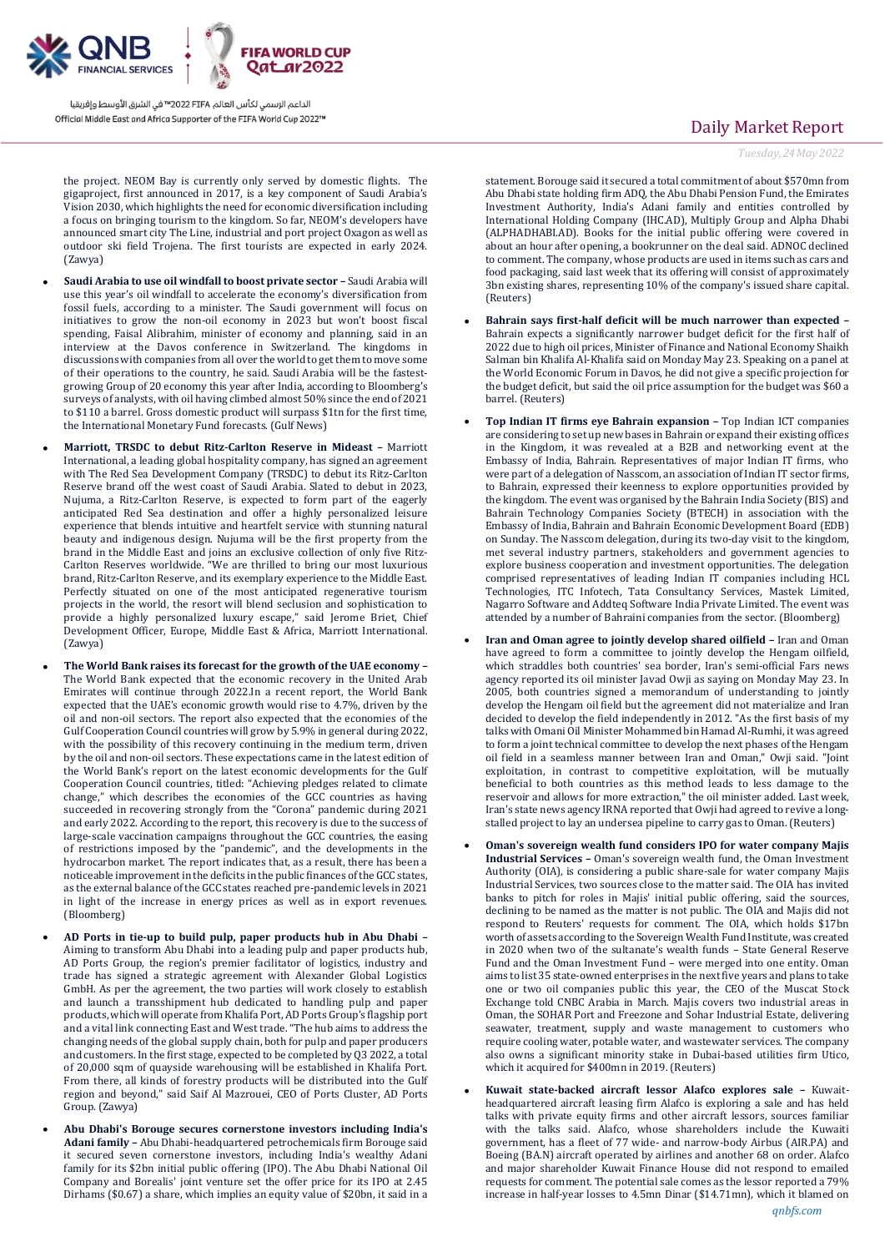

the project. NEOM Bay is currently only served by domestic flights. The gigaproject, first announced in 2017, is a key component of Saudi Arabia's Vision 2030, which highlights the need for economic diversification including a focus on bringing tourism to the kingdom. So far, NEOM's developers have announced smart city The Line, industrial and port project Oxagon as well as outdoor ski field Trojena. The first tourists are expected in early 2024. (Zawya)

- **Saudi Arabia to use oil windfall to boost private sector –** Saudi Arabia will use this year's oil windfall to accelerate the economy's diversification from fossil fuels, according to a minister. The Saudi government will focus on initiatives to grow the non-oil economy in 2023 but won't boost fiscal spending, Faisal Alibrahim, minister of economy and planning, said in an interview at the Davos conference in Switzerland. The kingdoms in discussions with companies from all over the world to get them to move some of their operations to the country, he said. Saudi Arabia will be the fastestgrowing Group of 20 economy this year after India, according to Bloomberg's surveys of analysts, with oil having climbed almost 50% since the end of 2021 to \$110 a barrel. Gross domestic product will surpass \$1tn for the first time, the International Monetary Fund forecasts. (Gulf News)
- **Marriott. TRSDC to debut Ritz-Carlton Reserve in Mideast Marriott** International, a leading global hospitality company, has signed an agreement with The Red Sea Development Company (TRSDC) to debut its Ritz-Carlton Reserve brand off the west coast of Saudi Arabia. Slated to debut in 2023, Nujuma, a Ritz-Carlton Reserve, is expected to form part of the eagerly anticipated Red Sea destination and offer a highly personalized leisure experience that blends intuitive and heartfelt service with stunning natural beauty and indigenous design. Nujuma will be the first property from the brand in the Middle East and joins an exclusive collection of only five Ritz-Carlton Reserves worldwide. "We are thrilled to bring our most luxurious brand, Ritz-Carlton Reserve, and its exemplary experience to the Middle East. Perfectly situated on one of the most anticipated regenerative tourism projects in the world, the resort will blend seclusion and sophistication to provide a highly personalized luxury escape," said Jerome Briet, Chief Development Officer, Europe, Middle East & Africa, Marriott International. (Zawya)
- **The World Bank raises its forecast for the growth of the UAE economy –** The World Bank expected that the economic recovery in the United Arab Emirates will continue through 2022.In a recent report, the World Bank expected that the UAE's economic growth would rise to 4.7%, driven by the oil and non-oil sectors. The report also expected that the economies of the Gulf Cooperation Council countries will grow by 5.9% in general during 2022, with the possibility of this recovery continuing in the medium term, driven by the oil and non-oil sectors. These expectations came in the latest edition of the World Bank's report on the latest economic developments for the Gulf Cooperation Council countries, titled: "Achieving pledges related to climate change," which describes the economies of the GCC countries as having succeeded in recovering strongly from the "Corona" pandemic during 2021 and early 2022. According to the report, this recovery is due to the success of large-scale vaccination campaigns throughout the GCC countries, the easing of restrictions imposed by the "pandemic", and the developments in the hydrocarbon market. The report indicates that, as a result, there has been a noticeable improvement in the deficits in the public finances of the GCC states, as the external balance of the GCC states reached pre-pandemic levels in 2021 in light of the increase in energy prices as well as in export revenues. (Bloomberg)
- **AD Ports in tie-up to build pulp, paper products hub in Abu Dhabi –** Aiming to transform Abu Dhabi into a leading pulp and paper products hub, AD Ports Group, the region's premier facilitator of logistics, industry and trade has signed a strategic agreement with Alexander Global Logistics GmbH. As per the agreement, the two parties will work closely to establish and launch a transshipment hub dedicated to handling pulp and paper products, which will operate from Khalifa Port, AD Ports Group's flagship port and a vital link connecting East and West trade. "The hub aims to address the changing needs of the global supply chain, both for pulp and paper producers and customers. In the first stage, expected to be completed by Q3 2022, a total of 20,000 sqm of quayside warehousing will be established in Khalifa Port. From there, all kinds of forestry products will be distributed into the Gulf region and beyond," said Saif Al Mazrouei, CEO of Ports Cluster, AD Ports Group. (Zawya)
- **Abu Dhabi's Borouge secures cornerstone investors including India's Adani family –** Abu Dhabi-headquartered petrochemicals firm Borouge said it secured seven cornerstone investors, including India's wealthy Adani family for its \$2bn initial public offering (IPO). The Abu Dhabi National Oil Company and Borealis' joint venture set the offer price for its IPO at 2.45 Dirhams (\$0.67) a share, which implies an equity value of \$20bn, it said in a

## Daily Market Report

*Tuesday, 24May 2022*

statement. Borouge said it secured a total commitment of about \$570mn from Abu Dhabi state holding firm ADQ, the Abu Dhabi Pension Fund, the Emirates Investment Authority, India's Adani family and entities controlled by International Holding Company (IHC.AD), Multiply Group and Alpha Dhabi (ALPHADHABI.AD). Books for the initial public offering were covered in about an hour after opening, a bookrunner on the deal said. ADNOC declined to comment. The company, whose products are used in items such as cars and food packaging, said last week that its offering will consist of approximately 3bn existing shares, representing 10% of the company's issued share capital. (Reuters)

- **Bahrain says first-half deficit will be much narrower than expected –** Bahrain expects a significantly narrower budget deficit for the first half of 2022 due to high oil prices, Minister of Finance and National Economy Shaikh Salman bin Khalifa Al-Khalifa said on Monday May 23. Speaking on a panel at the World Economic Forum in Davos, he did not give a specific projection for the budget deficit, but said the oil price assumption for the budget was \$60 a barrel. (Reuters)
- **Top Indian IT firms eye Bahrain expansion –** Top Indian ICT companies are considering to set up new bases in Bahrain or expand their existing offices in the Kingdom, it was revealed at a B2B and networking event at the Embassy of India, Bahrain. Representatives of major Indian IT firms, who were part of a delegation of Nasscom, an association of Indian IT sector firms, to Bahrain, expressed their keenness to explore opportunities provided by the kingdom. The event was organised by the Bahrain India Society (BIS) and Bahrain Technology Companies Society (BTECH) in association with the Embassy of India, Bahrain and Bahrain Economic Development Board (EDB) on Sunday. The Nasscom delegation, during its two-day visit to the kingdom, met several industry partners, stakeholders and government agencies to explore business cooperation and investment opportunities. The delegation comprised representatives of leading Indian IT companies including HCL Technologies, ITC Infotech, Tata Consultancy Services, Mastek Limited, Nagarro Software and Addteq Software India Private Limited. The event was attended by a number of Bahraini companies from the sector. (Bloomberg)
- **Iran and Oman agree to jointly develop shared oilfield –** Iran and Oman have agreed to form a committee to jointly develop the Hengam oilfield, which straddles both countries' sea border, Iran's semi-official Fars news agency reported its oil minister Javad Owji as saying on Monday May 23. In 2005, both countries signed a memorandum of understanding to jointly develop the Hengam oil field but the agreement did not materialize and Iran decided to develop the field independently in 2012. "As the first basis of my talks with Omani Oil Minister Mohammed bin Hamad Al-Rumhi, it was agreed to form a joint technical committee to develop the next phases of the Hengam oil field in a seamless manner between Iran and Oman," Owji said. "Joint exploitation, in contrast to competitive exploitation, will be mutually beneficial to both countries as this method leads to less damage to the reservoir and allows for more extraction," the oil minister added. Last week, Iran's state news agency IRNA reported that Owji had agreed to revive a longstalled project to lay an undersea pipeline to carry gas to Oman. (Reuters)
- **Oman's sovereign wealth fund considers IPO for water company Majis Industrial Services –** Oman's sovereign wealth fund, the Oman Investment Authority (OIA), is considering a public share-sale for water company Majis Industrial Services, two sources close to the matter said. The OIA has invited banks to pitch for roles in Majis' initial public offering, said the sources, declining to be named as the matter is not public. The OIA and Majis did not respond to Reuters' requests for comment. The OIA, which holds \$17bn worth of assets according to the Sovereign Wealth Fund Institute, was created in 2020 when two of the sultanate's wealth funds – State General Reserve Fund and the Oman Investment Fund – were merged into one entity. Oman aims to list 35 state-owned enterprises in the next five years and plans to take one or two oil companies public this year, the CEO of the Muscat Stock Exchange told CNBC Arabia in March. Majis covers two industrial areas in Oman, the SOHAR Port and Freezone and Sohar Industrial Estate, delivering seawater, treatment, supply and waste management to customers who require cooling water, potable water, and wastewater services. The company also owns a significant minority stake in Dubai-based utilities firm Utico, which it acquired for \$400mn in 2019. (Reuters)
- **Kuwait state-backed aircraft lessor Alafco explores sale –** Kuwaitheadquartered aircraft leasing firm Alafco is exploring a sale and has held talks with private equity firms and other aircraft lessors, sources familiar with the talks said. Alafco, whose shareholders include the Kuwaiti government, has a fleet of 77 wide- and narrow-body Airbus (AIR.PA) and Boeing (BA.N) aircraft operated by airlines and another 68 on order. Alafco and major shareholder Kuwait Finance House did not respond to emailed requests for comment. The potential sale comes as the lessor reported a 79% increase in half-year losses to 4.5mn Dinar (\$14.71mn), which it blamed on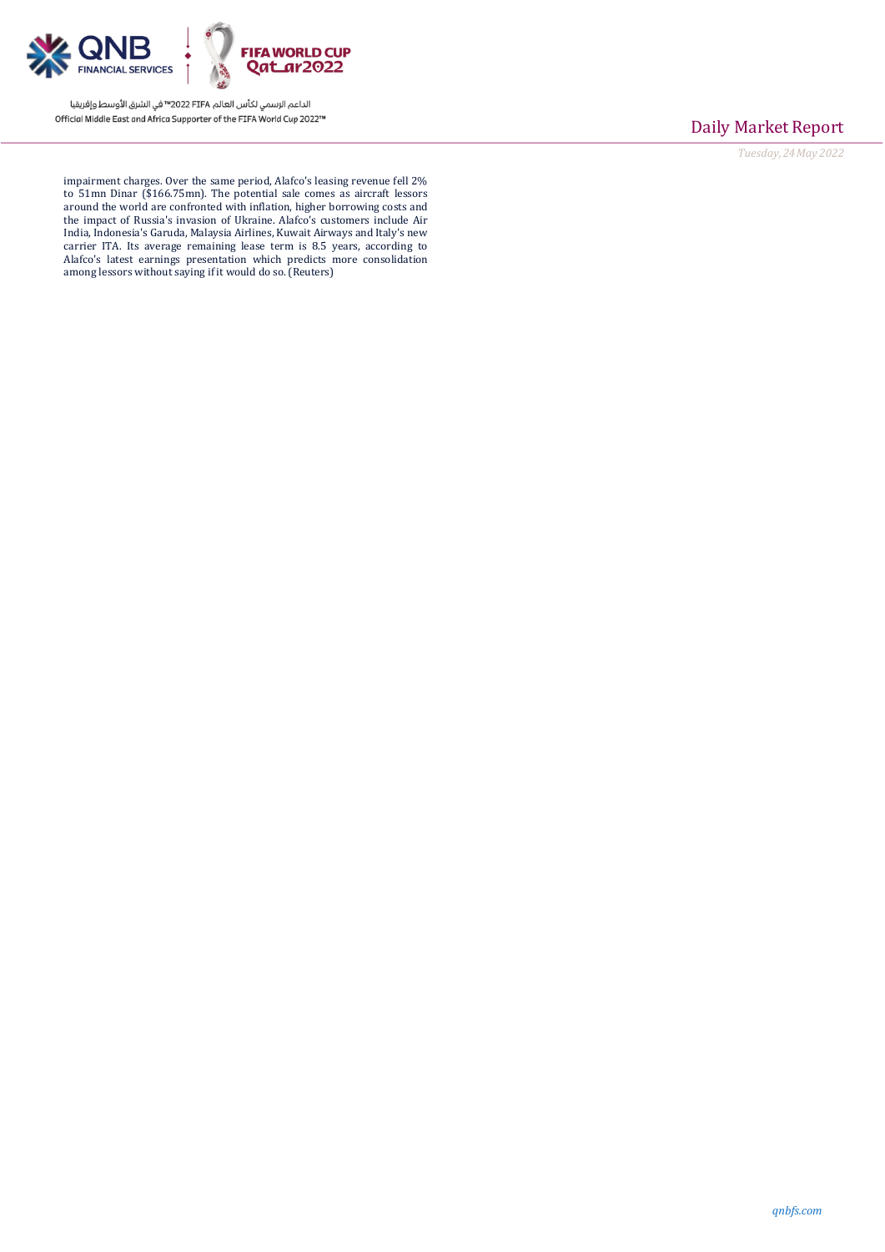

## Daily Market Report

*Tuesday, 24May 2022*

impairment charges. Over the same period, Alafco's leasing revenue fell 2% to 51mn Dinar (\$166.75mn). The potential sale comes as aircraft lessors around the world are confronted with inflation, higher borrowing costs and the impact of Russia's invasion of Ukraine. Alafco's customers include Air India, Indonesia's Garuda, Malaysia Airlines, Kuwait Airways and Italy's new carrier ITA. Its average remaining lease term is 8.5 years, according to Alafco's latest earnings presentation which predicts more consolidation among lessors without saying if it would do so. (Reuters)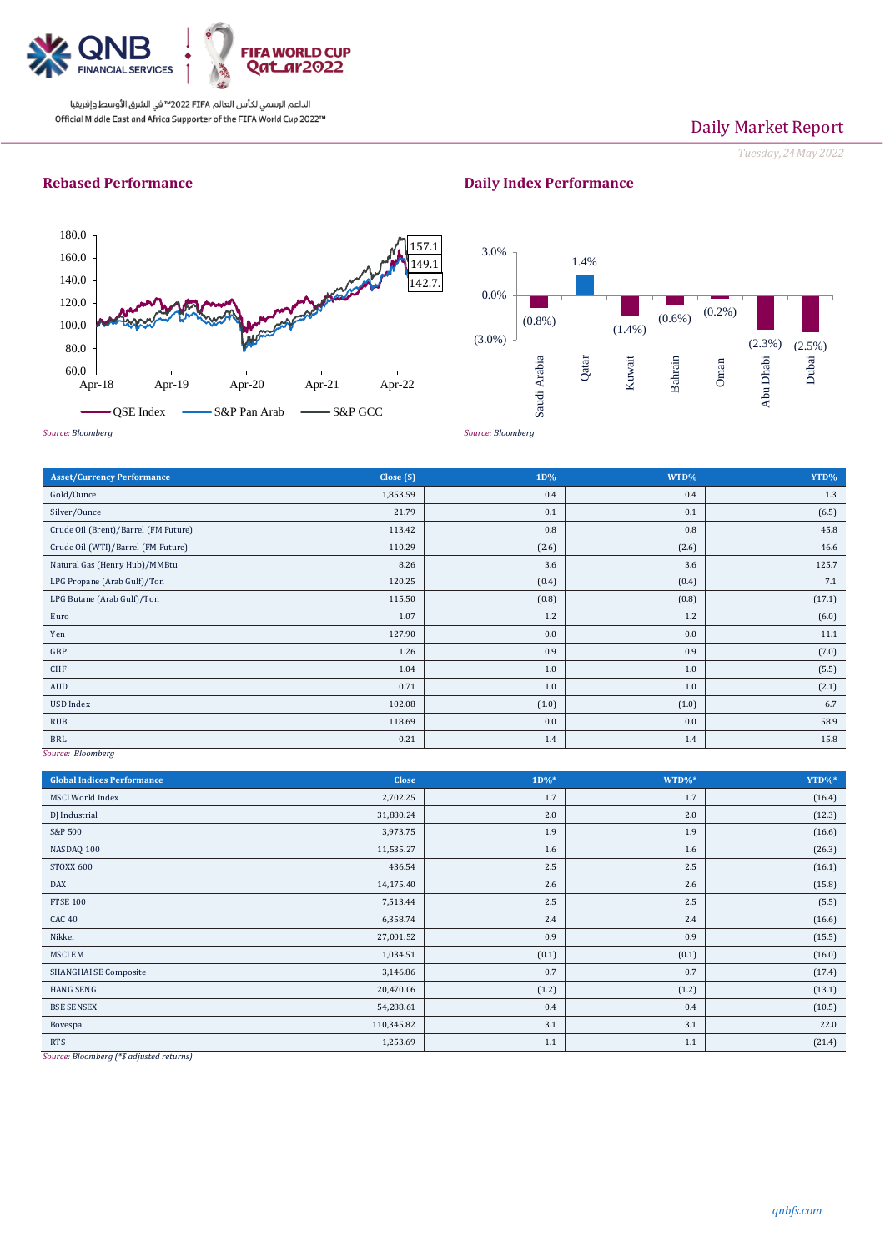

# Daily Market Report

*Tuesday, 24May 2022*

## **Rebased Performance**





| <b>Asset/Currency Performance</b>    | Close (\$) | 1D%   | WTD%  | YTD%   |
|--------------------------------------|------------|-------|-------|--------|
| Gold/Ounce                           | 1,853.59   | 0.4   | 0.4   | 1.3    |
| Silver/Ounce                         | 21.79      | 0.1   | 0.1   | (6.5)  |
| Crude Oil (Brent)/Barrel (FM Future) | 113.42     | 0.8   | 0.8   | 45.8   |
| Crude Oil (WTI)/Barrel (FM Future)   | 110.29     | (2.6) | (2.6) | 46.6   |
| Natural Gas (Henry Hub)/MMBtu        | 8.26       | 3.6   | 3.6   | 125.7  |
| LPG Propane (Arab Gulf)/Ton          | 120.25     | (0.4) | (0.4) | 7.1    |
| LPG Butane (Arab Gulf)/Ton           | 115.50     | (0.8) | (0.8) | (17.1) |
| Euro                                 | 1.07       | 1.2   | 1.2   | (6.0)  |
| Yen                                  | 127.90     | 0.0   | 0.0   | 11.1   |
| GBP                                  | 1.26       | 0.9   | 0.9   | (7.0)  |
| CHF                                  | 1.04       | 1.0   | 1.0   | (5.5)  |
| AUD                                  | 0.71       | 1.0   | 1.0   | (2.1)  |
| <b>USD</b> Index                     | 102.08     | (1.0) | (1.0) | 6.7    |
| <b>RUB</b>                           | 118.69     | 0.0   | 0.0   | 58.9   |
| <b>BRL</b>                           | 0.21       | 1.4   | 1.4   | 15.8   |

*Source: Bloomberg*

| <b>Global Indices Performance</b> | <b>Close</b> | $1D\%*$ | $WTD\%*$ | YTD%*  |
|-----------------------------------|--------------|---------|----------|--------|
| <b>MSCI</b> World Index           | 2,702.25     | 1.7     | 1.7      | (16.4) |
| DJ Industrial                     | 31,880.24    | 2.0     | 2.0      | (12.3) |
| S&P 500                           | 3,973.75     | 1.9     | 1.9      | (16.6) |
| NASDAQ 100                        | 11,535.27    | 1.6     | 1.6      | (26.3) |
| STOXX 600                         | 436.54       | 2.5     | 2.5      | (16.1) |
| <b>DAX</b>                        | 14,175.40    | 2.6     | 2.6      | (15.8) |
| <b>FTSE 100</b>                   | 7,513.44     | 2.5     | 2.5      | (5.5)  |
| CAC <sub>40</sub>                 | 6,358.74     | 2.4     | 2.4      | (16.6) |
| Nikkei                            | 27,001.52    | 0.9     | 0.9      | (15.5) |
| <b>MSCIEM</b>                     | 1,034.51     | (0.1)   | (0.1)    | (16.0) |
| <b>SHANGHAI SE Composite</b>      | 3,146.86     | 0.7     | 0.7      | (17.4) |
| <b>HANG SENG</b>                  | 20,470.06    | (1.2)   | (1.2)    | (13.1) |
| <b>BSE SENSEX</b>                 | 54,288.61    | 0.4     | 0.4      | (10.5) |
| Bovespa                           | 110,345.82   | 3.1     | 3.1      | 22.0   |
| <b>RTS</b>                        | 1,253.69     | 1.1     | 1.1      | (21.4) |

*Source: Bloomberg (\*\$ adjusted returns)*